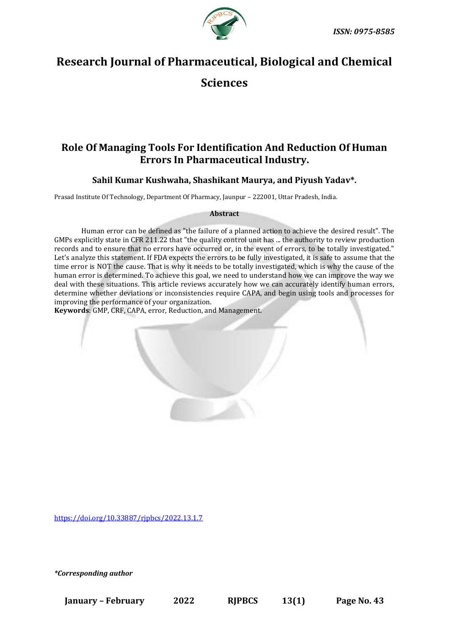

# **Research Journal of Pharmaceutical, Biological and Chemical**

**Sciences**

# **Role Of Managing Tools For Identification And Reduction Of Human Errors In Pharmaceutical Industry.**

**Sahil Kumar Kushwaha, Shashikant Maurya, and Piyush Yadav\*.**

Prasad Institute Of Technology, Department Of Pharmacy, Jaunpur – 222001, Uttar Pradesh, India.

#### **Abstract**

Human error can be defined as "the failure of a planned action to achieve the desired result". The GMPs explicitly state in CFR 211.22 that "the quality control unit has ... the authority to review production records and to ensure that no errors have occurred or, in the event of errors, to be totally investigated." Let's analyze this statement. If FDA expects the errors to be fully investigated, it is safe to assume that the time error is NOT the cause. That is why it needs to be totally investigated, which is why the cause of the human error is determined. To achieve this goal, we need to understand how we can improve the way we deal with these situations. This article reviews accurately how we can accurately identify human errors, determine whether deviations or inconsistencies require CAPA, and begin using tools and processes for improving the performance of your organization.

**Keywords**: GMP, CRF, CAPA, error, Reduction, and Management.

<https://doi.org/10.33887/rjpbcs/2022.13.1.7>

*\*Corresponding author*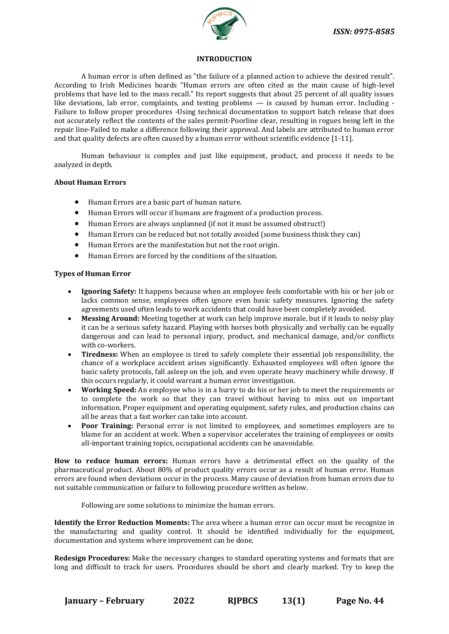

#### **INTRODUCTION**

A human error is often defined as "the failure of a planned action to achieve the desired result". According to Irish Medicines boards "Human errors are often cited as the main cause of high-level problems that have led to the mass recall." Its report suggests that about 25 percent of all quality issues like deviations, lab error, complaints, and testing problems — is caused by human error. Including - Failure to follow proper procedures -Using technical documentation to support batch release that does not accurately reflect the contents of the sales permit-Poorline clear, resulting in rogues being left in the repair line-Failed to make a difference following their approval. And labels are attributed to human error and that quality defects are often caused by a human error without scientific evidence [1-11].

Human behaviour is complex and just like equipment, product, and process it needs to be analyzed in depth.

#### **About Human Errors**

- Human Errors are a basic part of human nature.
- Human Errors will occur if humans are fragment of a production process.
- Human Errors are always unplanned (if not it must be assumed obstruct!)
- Human Errors can be reduced but not totally avoided (some business think they can)
- Human Errors are the manifestation but not the root origin.
- Human Errors are forced by the conditions of the situation.

#### **Types of Human Error**

- **Ignoring Safety:** It happens because when an employee feels comfortable with his or her job or lacks common sense, employees often ignore even basic safety measures. Ignoring the safety agreements used often leads to work accidents that could have been completely avoided.
- **Messing Around:** Meeting together at work can help improve morale, but if it leads to noisy play it can be a serious safety hazard. Playing with horses both physically and verbally can be equally dangerous and can lead to personal injury, product, and mechanical damage, and/or conflicts with co-workers.
- **Tiredness:** When an employee is tired to safely complete their essential job responsibility, the chance of a workplace accident arises significantly. Exhausted employees will often ignore the basic safety protocols, fall asleep on the job, and even operate heavy machinery while drowsy. If this occurs regularly, it could warrant a human error investigation.
- **Working Speed:** An employee who is in a hurry to do his or her job to meet the requirements or to complete the work so that they can travel without having to miss out on important information. Proper equipment and operating equipment, safety rules, and production chains can all be areas that a fast worker can take into account.
- **Poor Training:** Personal error is not limited to employees, and sometimes employers are to blame for an accident at work. When a supervisor accelerates the training of employees or omits all-important training topics, occupational accidents can be unavoidable.

**How to reduce human errors:** Human errors have a detrimental effect on the quality of the pharmaceutical product. About 80% of product quality errors occur as a result of human error. Human errors are found when deviations occur in the process. Many cause of deviation from human errors due to not suitable communication or failure to following procedure written as below.

Following are some solutions to minimize the human errors.

**Identify the Error Reduction Moments:** The area where a human error can occur must be recognize in the manufacturing and quality control. It should be identified individually for the equipment, documentation and systems where improvement can be done.

**Redesign Procedures:** Make the necessary changes to standard operating systems and formats that are long and difficult to track for users. Procedures should be short and clearly marked. Try to keep the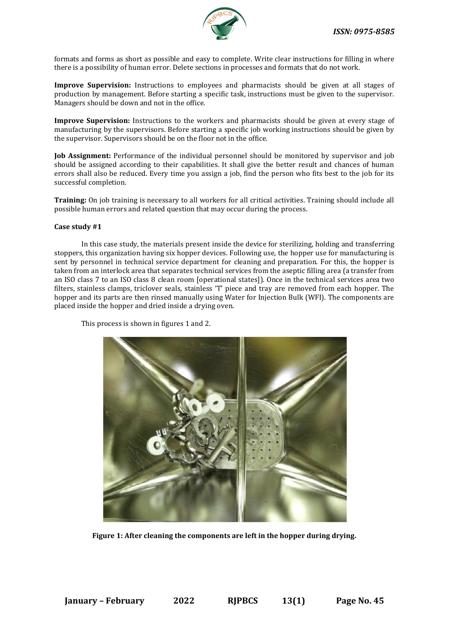

formats and forms as short as possible and easy to complete. Write clear instructions for filling in where there is a possibility of human error. Delete sections in processes and formats that do not work.

**Improve Supervision:** Instructions to employees and pharmacists should be given at all stages of production by management. Before starting a specific task, instructions must be given to the supervisor. Managers should be down and not in the office.

**Improve Supervision:** Instructions to the workers and pharmacists should be given at every stage of manufacturing by the supervisors. Before starting a specific job working instructions should be given by the supervisor. Supervisors should be on the floor not in the office.

**Job Assignment:** Performance of the individual personnel should be monitored by supervisor and job should be assigned according to their capabilities. It shall give the better result and chances of human errors shall also be reduced. Every time you assign a job, find the person who fits best to the job for its successful completion.

**Training:** On job training is necessary to all workers for all critical activities. Training should include all possible human errors and related question that may occur during the process.

#### **Case study #1**

In this case study, the materials present inside the device for sterilizing, holding and transferring stoppers, this organization having six hopper devices. Following use, the hopper use for manufacturing is sent by personnel in technical service department for cleaning and preparation. For this, the hopper is taken from an interlock area that separates technical services from the aseptic filling area (a transfer from an ISO class 7 to an ISO class 8 clean room [operational states]). Once in the technical services area two filters, stainless clamps, triclover seals, stainless 'T' piece and tray are removed from each hopper. The hopper and its parts are then rinsed manually using Water for Injection Bulk (WFI). The components are placed inside the hopper and dried inside a drying oven.

This process is shown in figures 1 and 2.



**Figure 1: After cleaning the components are left in the hopper during drying.**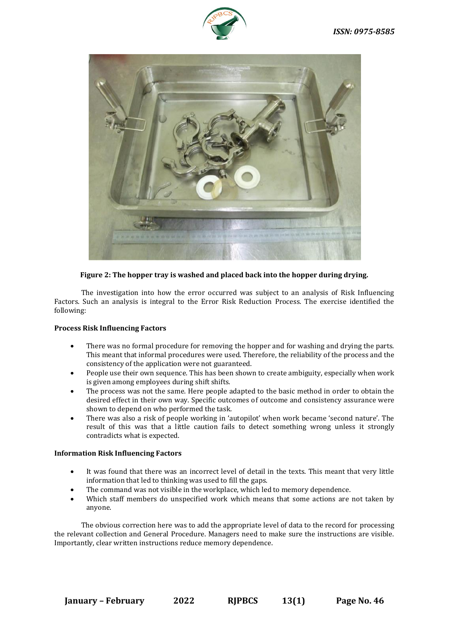



## **Figure 2: The hopper tray is washed and placed back into the hopper during drying.**

The investigation into how the error occurred was subject to an analysis of Risk Influencing Factors. Such an analysis is integral to the Error Risk Reduction Process. The exercise identified the following:

#### **Process Risk Influencing Factors**

- There was no formal procedure for removing the hopper and for washing and drying the parts. This meant that informal procedures were used. Therefore, the reliability of the process and the consistency of the application were not guaranteed.
- People use their own sequence. This has been shown to create ambiguity, especially when work is given among employees during shift shifts.
- The process was not the same. Here people adapted to the basic method in order to obtain the desired effect in their own way. Specific outcomes of outcome and consistency assurance were shown to depend on who performed the task.
- There was also a risk of people working in 'autopilot' when work became 'second nature'. The result of this was that a little caution fails to detect something wrong unless it strongly contradicts what is expected.

#### **Information Risk Influencing Factors**

- It was found that there was an incorrect level of detail in the texts. This meant that very little information that led to thinking was used to fill the gaps.
- The command was not visible in the workplace, which led to memory dependence.
- Which staff members do unspecified work which means that some actions are not taken by anyone.

The obvious correction here was to add the appropriate level of data to the record for processing the relevant collection and General Procedure. Managers need to make sure the instructions are visible. Importantly, clear written instructions reduce memory dependence.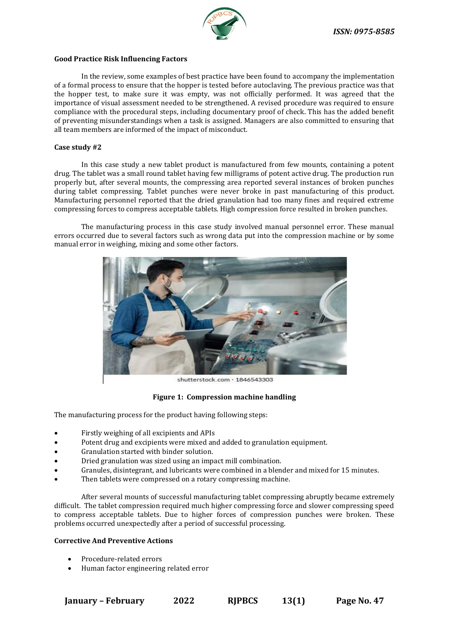

#### **Good Practice Risk Influencing Factors**

In the review, some examples of best practice have been found to accompany the implementation of a formal process to ensure that the hopper is tested before autoclaving. The previous practice was that the hopper test, to make sure it was empty, was not officially performed. It was agreed that the importance of visual assessment needed to be strengthened. A revised procedure was required to ensure compliance with the procedural steps, including documentary proof of check. This has the added benefit of preventing misunderstandings when a task is assigned. Managers are also committed to ensuring that all team members are informed of the impact of misconduct.

#### **Case study #2**

In this case study a new tablet product is manufactured from few mounts, containing a potent drug. The tablet was a small round tablet having few milligrams of potent active drug. The production run properly but, after several mounts, the compressing area reported several instances of broken punches during tablet compressing. Tablet punches were never broke in past manufacturing of this product. Manufacturing personnel reported that the dried granulation had too many fines and required extreme compressing forces to compress acceptable tablets. High compression force resulted in broken punches.

The manufacturing process in this case study involved manual personnel error. These manual errors occurred due to several factors such as wrong data put into the compression machine or by some manual error in weighing, mixing and some other factors.



shutterstock.com · 1846543303

**Figure 1: Compression machine handling**

The manufacturing process for the product having following steps:

- Firstly weighing of all excipients and APIs
- Potent drug and excipients were mixed and added to granulation equipment.
- Granulation started with binder solution.
- Dried granulation was sized using an impact mill combination.
- Granules, disintegrant, and lubricants were combined in a blender and mixed for 15 minutes.
- Then tablets were compressed on a rotary compressing machine.

After several mounts of successful manufacturing tablet compressing abruptly became extremely difficult. The tablet compression required much higher compressing force and slower compressing speed to compress acceptable tablets. Due to higher forces of compression punches were broken. These problems occurred unexpectedly after a period of successful processing.

#### **Corrective And Preventive Actions**

- Procedure-related errors
- Human factor engineering related error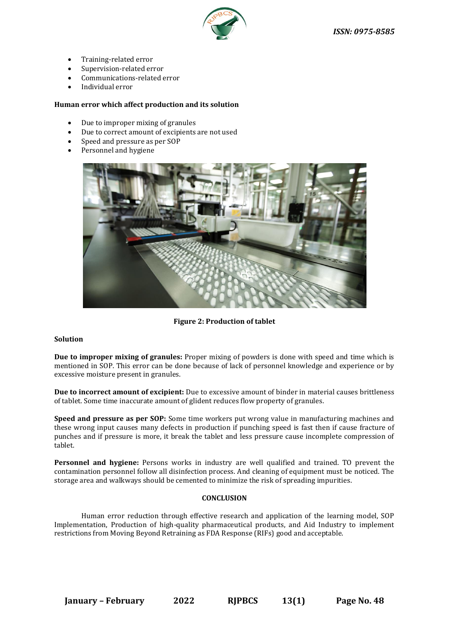

- Training-related error
- Supervision-related error
- Communications-related error
- Individual error

#### **Human error which affect production and its solution**

- Due to improper mixing of granules
- Due to correct amount of excipients are not used
- Speed and pressure as per SOP
- Personnel and hygiene



**Figure 2: Production of tablet**

#### **Solution**

**Due to improper mixing of granules:** Proper mixing of powders is done with speed and time which is mentioned in SOP. This error can be done because of lack of personnel knowledge and experience or by excessive moisture present in granules.

**Due to incorrect amount of excipient:** Due to excessive amount of binder in material causes brittleness of tablet. Some time inaccurate amount of glident reduces flow property of granules.

**Speed and pressure as per SOP:** Some time workers put wrong value in manufacturing machines and these wrong input causes many defects in production if punching speed is fast then if cause fracture of punches and if pressure is more, it break the tablet and less pressure cause incomplete compression of tablet.

**Personnel and hygiene:** Persons works in industry are well qualified and trained. TO prevent the contamination personnel follow all disinfection process. And cleaning of equipment must be noticed. The storage area and walkways should be cemented to minimize the risk of spreading impurities.

## **CONCLUSION**

Human error reduction through effective research and application of the learning model, SOP Implementation, Production of high-quality pharmaceutical products, and Aid Industry to implement restrictions from Moving Beyond Retraining as FDA Response (RIFs) good and acceptable.